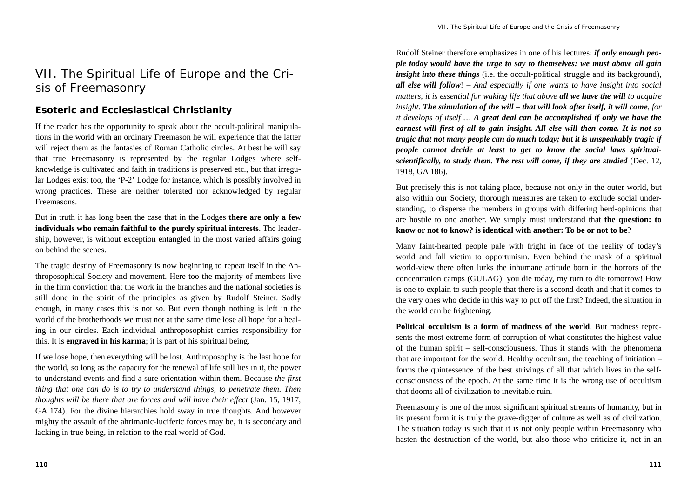## VII. The Spiritual Life of Europe and the Crisis of Freemasonry

## **Esoteric and Ecclesiastical Christianity**

If the reader has the opportunity to speak about the occult-political manipulations in the world with an ordinary Freemason he will experience that the latter will reject them as the fantasies of Roman Catholic circles. At best he will say that true Freemasonry is represented by the regular Lodges where selfknowledge is cultivated and faith in traditions is preserved etc., but that irregular Lodges exist too, the 'P-2' Lodge for instance, which is possibly involved in wrong practices. These are neither tolerated nor acknowledged by regular Freemasons.

But in truth it has long been the case that in the Lodges **there are only a few individuals who remain faithful to the purely spiritual interests**. The leadership, however, is without exception entangled in the most varied affairs going on behind the scenes.

The tragic destiny of Freemasonry is now beginning to repeat itself in the Anthroposophical Society and movement. Here too the majority of members live in the firm conviction that the work in the branches and the national societies is still done in the spirit of the principles as given by Rudolf Steiner. Sadly enough, in many cases this is not so. But even though nothing is left in the world of the brotherhoods we must not at the same time lose all hope for a healing in our circles. Each individual anthroposophist carries responsibility for this. It is **engraved in his karma**; it is part of his spiritual being.

If we lose hope, then everything will be lost. Anthroposophy is the last hope for the world, so long as the capacity for the renewal of life still lies in it, the power to understand events and find a sure orientation within them. Because *the first thing that one can do is to try to understand things, to penetrate them. Then thoughts will be there that are forces and will have their effect* (Jan. 15, 1917, GA 174). For the divine hierarchies hold sway in true thoughts. And however mighty the assault of the ahrimanic-luciferic forces may be, it is secondary and lacking in true being, in relation to the real world of God.

Rudolf Steiner therefore emphasizes in one of his lectures: *if only enough people today would have the urge to say to themselves: we must above all gain insight into these things* (i.e. the occult-political struggle and its background), *all else will follow*! *– And especially if one wants to have insight into social matters, it is essential for waking life that above all we have the will to acquire insight. The stimulation of the will – that will look after itself, it will come, for it develops of itself … A great deal can be accomplished if only we have the earnest will first of all to gain insight. All else will then come. It is not so tragic that not many people can do much today; but it is unspeakably tragic if people cannot decide at least to get to know the social laws spiritualscientifically, to study them. The rest will come, if they are studied* (Dec. 12, 1918, GA 186).

But precisely this is not taking place, because not only in the outer world, but also within our Society, thorough measures are taken to exclude social understanding, to disperse the members in groups with differing herd-opinions that are hostile to one another. We simply must understand that **the question: to know or not to know? is identical with another: To be or not to be**?

Many faint-hearted people pale with fright in face of the reality of today's world and fall victim to opportunism. Even behind the mask of a spiritual world-view there often lurks the inhumane attitude born in the horrors of the concentration camps (GULAG): you die today, my turn to die tomorrow! How is one to explain to such people that there is a second death and that it comes to the very ones who decide in this way to put off the first? Indeed, the situation in the world can be frightening.

**Political occultism is a form of madness of the world**. But madness represents the most extreme form of corruption of what constitutes the highest value of the human spirit – self-consciousness. Thus it stands with the phenomena that are important for the world. Healthy occultism, the teaching of initiation – forms the quintessence of the best strivings of all that which lives in the selfconsciousness of the epoch. At the same time it is the wrong use of occultism that dooms all of civilization to inevitable ruin.

Freemasonry is one of the most significant spiritual streams of humanity, but in its present form it is truly the grave-digger of culture as well as of civilization. The situation today is such that it is not only people within Freemasonry who hasten the destruction of the world, but also those who criticize it, not in an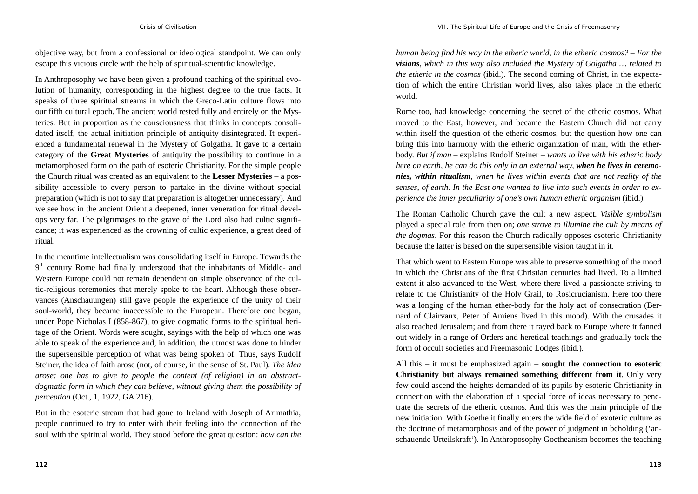objective way, but from a confessional or ideological standpoint. We can only escape this vicious circle with the help of spiritual-scientific knowledge.

In Anthroposophy we have been given a profound teaching of the spiritual evolution of humanity, corresponding in the highest degree to the true facts. It speaks of three spiritual streams in which the Greco-Latin culture flows into our fifth cultural epoch. The ancient world rested fully and entirely on the Mysteries. But in proportion as the consciousness that thinks in concepts consolidated itself, the actual initiation principle of antiquity disintegrated. It experienced a fundamental renewal in the Mystery of Golgatha. It gave to a certain category of the **Great Mysteries** of antiquity the possibility to continue in a metamorphosed form on the path of esoteric Christianity. For the simple people the Church ritual was created as an equivalent to the **Lesser Mysteries** – a possibility accessible to every person to partake in the divine without special preparation (which is not to say that preparation is altogether unnecessary). And we see how in the ancient Orient a deepened, inner veneration for ritual develops very far. The pilgrimages to the grave of the Lord also had cultic significance; it was experienced as the crowning of cultic experience, a great deed of ritual.

In the meantime intellectualism was consolidating itself in Europe. Towards the 9<sup>th</sup> century Rome had finally understood that the inhabitants of Middle- and Western Europe could not remain dependent on simple observance of the cultic-religious ceremonies that merely spoke to the heart. Although these observances (Anschauungen) still gave people the experience of the unity of their soul-world, they became inaccessible to the European. Therefore one began, under Pope Nicholas I (858-867), to give dogmatic forms to the spiritual heritage of the Orient. Words were sought, sayings with the help of which one was able to speak of the experience and, in addition, the utmost was done to hinder the supersensible perception of what was being spoken of. Thus, says Rudolf Steiner, the idea of faith arose (not, of course, in the sense of St. Paul). *The idea arose: one has to give to people the content (of religion) in an abstractdogmatic form in which they can believe, without giving them the possibility of perception* (Oct., 1, 1922, GA 216).

But in the esoteric stream that had gone to Ireland with Joseph of Arimathia, people continued to try to enter with their feeling into the connection of the soul with the spiritual world. They stood before the great question: *how can the* 

*human being find his way in the etheric world, in the etheric cosmos? – For the visions*, *which in this way also included the Mystery of Golgatha … related to the etheric in the cosmos* (ibid.). The second coming of Christ, in the expectation of which the entire Christian world lives, also takes place in the etheric world.

Rome too, had knowledge concerning the secret of the etheric cosmos. What moved to the East, however, and became the Eastern Church did not carry within itself the question of the etheric cosmos, but the question how one can bring this into harmony with the etheric organization of man, with the etherbody. *But if man* – explains Rudolf Steiner – *wants to live with his etheric body here on earth, he can do this only in an external way, when he lives in ceremonies, within ritualism, when he lives within events that are not reality of the senses, of earth. In the East one wanted to live into such events in order to experience the inner peculiarity of one's own human etheric organism* (ibid.).

The Roman Catholic Church gave the cult a new aspect. *Visible symbolism* played a special role from then on; *one strove to illumine the cult by means of the dogmas*. For this reason the Church radically opposes esoteric Christianity because the latter is based on the supersensible vision taught in it.

That which went to Eastern Europe was able to preserve something of the mood in which the Christians of the first Christian centuries had lived. To a limited extent it also advanced to the West, where there lived a passionate striving to relate to the Christianity of the Holy Grail, to Rosicrucianism. Here too there was a longing of the human ether-body for the holy act of consecration (Bernard of Clairvaux, Peter of Amiens lived in this mood). With the crusades it also reached Jerusalem; and from there it rayed back to Europe where it fanned out widely in a range of Orders and heretical teachings and gradually took the form of occult societies and Freemasonic Lodges (ibid.).

All this – it must be emphasized again – **sought the connection to esoteric Christianity but always remained something different from it**. Only very few could ascend the heights demanded of its pupils by esoteric Christianity in connection with the elaboration of a special force of ideas necessary to penetrate the secrets of the etheric cosmos. And this was the main principle of the new initiation. With Goethe it finally enters the wide field of exoteric culture as the doctrine of metamorphosis and of the power of judgment in beholding ('anschauende Urteilskraft'). In Anthroposophy Goetheanism becomes the teaching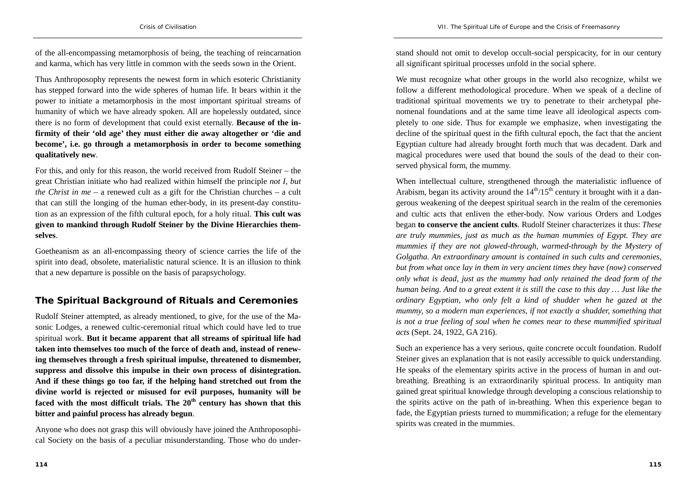of the all-encompassing metamorphosis of being, the teaching of reincarnation and karma, which has very little in common with the seeds sown in the Orient.

Thus Anthroposophy represents the newest form in which esoteric Christianity has stepped forward into the wide spheres of human life. It bears within it the power to initiate a metamorphosis in the most important spiritual streams of humanity of which we have already spoken. All are hopelessly outdated, since there is no form of development that could exist eternally. **Because of the infirmity of their 'old age' they must either die away altogether or 'die and become', i.e. go through a metamorphosis in order to become something qualitatively new**.

For this, and only for this reason, the world received from Rudolf Steiner – the great Christian initiate who had realized within himself the principle *not I, but the Christ in me* – a renewed cult as a gift for the Christian churches – a cult that can still the longing of the human ether-body, in its present-day constitution as an expression of the fifth cultural epoch, for a holy ritual. **This cult was given to mankind through Rudolf Steiner by the Divine Hierarchies themselves**.

Goetheanism as an all-encompassing theory of science carries the life of the spirit into dead, obsolete, materialistic natural science. It is an illusion to think that a new departure is possible on the basis of parapsychology.

## **The Spiritual Background of Rituals and Ceremonies**

Rudolf Steiner attempted, as already mentioned, to give, for the use of the Masonic Lodges, a renewed cultic-ceremonial ritual which could have led to true spiritual work. **But it became apparent that all streams of spiritual life had taken into themselves too much of the force of death and, instead of renewing themselves through a fresh spiritual impulse, threatened to dismember, suppress and dissolve this impulse in their own process of disintegration. And if these things go too far, if the helping hand stretched out from the divine world is rejected or misused for evil purposes, humanity will be faced with the most difficult trials. The 20th century has shown that this bitter and painful process has already begun**.

Anyone who does not grasp this will obviously have joined the Anthroposophical Society on the basis of a peculiar misunderstanding. Those who do under-

stand should not omit to develop occult-social perspicacity, for in our century all significant spiritual processes unfold in the social sphere.

We must recognize what other groups in the world also recognize, whilst we follow a different methodological procedure. When we speak of a decline of traditional spiritual movements we try to penetrate to their archetypal phenomenal foundations and at the same time leave all ideological aspects completely to one side. Thus for example we emphasize, when investigating the decline of the spiritual quest in the fifth cultural epoch, the fact that the ancient Egyptian culture had already brought forth much that was decadent. Dark and magical procedures were used that bound the souls of the dead to their conserved physical form, the mummy.

When intellectual culture, strengthened through the materialistic influence of Arabism, began its activity around the  $14<sup>th</sup>/15<sup>th</sup>$  century it brought with it a dangerous weakening of the deepest spiritual search in the realm of the ceremonies and cultic acts that enliven the ether-body. Now various Orders and Lodges began **to conserve the ancient cults**. Rudolf Steiner characterizes it thus: *These are truly mummies, just as much as the human mummies of Egypt. They are mummies if they are not glowed-through, warmed-through by the Mystery of Golgatha. An extraordinary amount is contained in such cults and ceremonies, but from what once lay in them in very ancient times they have (now) conserved only what is dead, just as the mummy had only retained the dead form of the human being. And to a great extent it is still the case to this day … Just like the ordinary Egyptian, who only felt a kind of shudder when he gazed at the mummy, so a modern man experiences, if not exactly a shudder, something that is not a true feeling of soul when he comes near to these mummified spiritual acts* (Sept. 24, 1922, GA 216).

Such an experience has a very serious, quite concrete occult foundation. Rudolf Steiner gives an explanation that is not easily accessible to quick understanding. He speaks of the elementary spirits active in the process of human in and outbreathing. Breathing is an extraordinarily spiritual process. In antiquity man gained great spiritual knowledge through developing a conscious relationship to the spirits active on the path of in-breathing. When this experience began to fade, the Egyptian priests turned to mummification; a refuge for the elementary spirits was created in the mummies.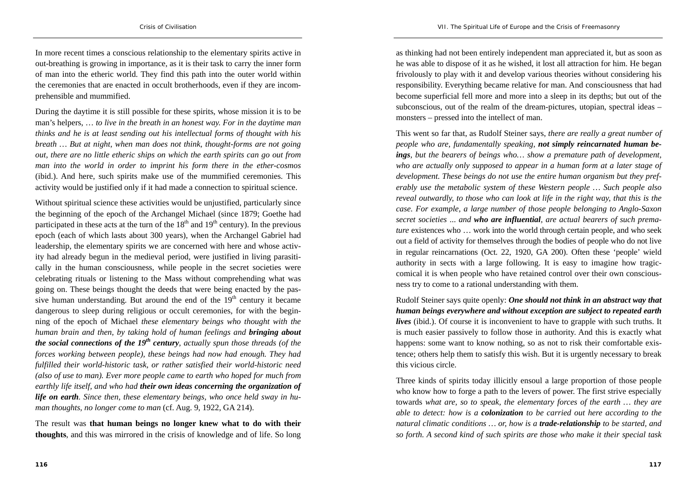In more recent times a conscious relationship to the elementary spirits active in out-breathing is growing in importance, as it is their task to carry the inner form of man into the etheric world. They find this path into the outer world within the ceremonies that are enacted in occult brotherhoods, even if they are incomprehensible and mummified.

During the daytime it is still possible for these spirits, whose mission it is to be man's helpers, … *to live in the breath in an honest way. For in the daytime man thinks and he is at least sending out his intellectual forms of thought with his breath … But at night, when man does not think, thought-forms are not going out, there are no little etheric ships on which the earth spirits can go out from man into the world in order to imprint his form there in the ether-cosmos* (ibid.). And here, such spirits make use of the mummified ceremonies. This activity would be justified only if it had made a connection to spiritual science.

Without spiritual science these activities would be unjustified, particularly since the beginning of the epoch of the Archangel Michael (since 1879; Goethe had participated in these acts at the turn of the  $18<sup>th</sup>$  and  $19<sup>th</sup>$  century). In the previous epoch (each of which lasts about 300 years), when the Archangel Gabriel had leadership, the elementary spirits we are concerned with here and whose activity had already begun in the medieval period, were justified in living parasitically in the human consciousness, while people in the secret societies were celebrating rituals or listening to the Mass without comprehending what was going on. These beings thought the deeds that were being enacted by the passive human understanding. But around the end of the  $19<sup>th</sup>$  century it became dangerous to sleep during religious or occult ceremonies, for with the beginning of the epoch of Michael *these elementary beings who thought with the human brain and then, by taking hold of human feelings and bringing about the social connections of the 19th century, actually spun those threads (of the forces working between people), these beings had now had enough. They had fulfilled their world-historic task, or rather satisfied their world-historic need (also of use to man). Ever more people came to earth who hoped for much from earthly life itself, and who had their own ideas concerning the organization of life on earth. Since then, these elementary beings, who once held sway in human thoughts, no longer come to man* (cf. Aug. 9, 1922, GA 214).

The result was **that human beings no longer knew what to do with their thoughts**, and this was mirrored in the crisis of knowledge and of life. So long

as thinking had not been entirely independent man appreciated it, but as soon as he was able to dispose of it as he wished, it lost all attraction for him. He began frivolously to play with it and develop various theories without considering his responsibility. Everything became relative for man. And consciousness that had become superficial fell more and more into a sleep in its depths; but out of the subconscious, out of the realm of the dream-pictures, utopian, spectral ideas – monsters – pressed into the intellect of man.

This went so far that, as Rudolf Steiner says, *there are really a great number of people who are, fundamentally speaking, not simply reincarnated human beings, but the bearers of beings who… show a premature path of development, who are actually only supposed to appear in a human form at a later stage of development. These beings do not use the entire human organism but they preferably use the metabolic system of these Western people … Such people also reveal outwardly, to those who can look at life in the right way, that this is the case. For example, a large number of those people belonging to Anglo-Saxon secret societies* ... *and who are influential, are actual bearers of such premature* existences who ... work into the world through certain people, and who seek out a field of activity for themselves through the bodies of people who do not live in regular reincarnations (Oct. 22, 1920, GA 200). Often these 'people' wield authority in sects with a large following. It is easy to imagine how tragiccomical it is when people who have retained control over their own consciousness try to come to a rational understanding with them.

Rudolf Steiner says quite openly: *One should not think in an abstract way that human beings everywhere and without exception are subject to repeated earth lives* (ibid.). Of course it is inconvenient to have to grapple with such truths. It is much easier passively to follow those in authority. And this is exactly what happens: some want to know nothing, so as not to risk their comfortable existence; others help them to satisfy this wish. But it is urgently necessary to break this vicious circle.

Three kinds of spirits today illicitly ensoul a large proportion of those people who know how to forge a path to the levers of power. The first strive especially towards *what are, so to speak, the elementary forces of the earth … they are able to detect: how is a colonization to be carried out here according to the natural climatic conditions … or, how is a trade-relationship to be started, and so forth. A second kind of such spirits are those who make it their special task*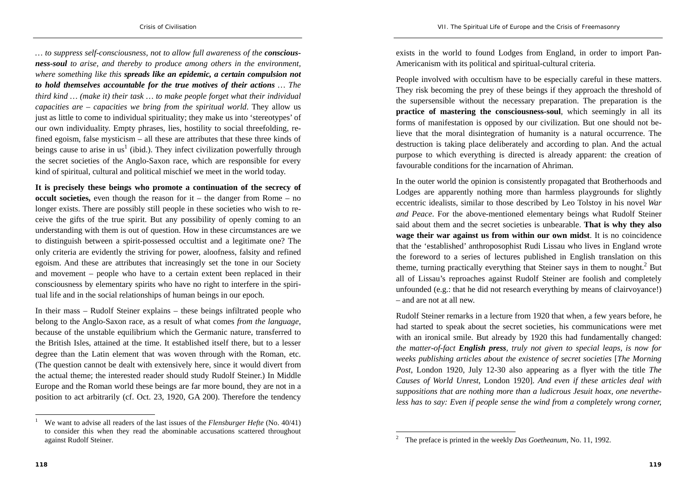*VII. The Spiritual Life of Europe and the Crisis of Freemasonry* 

*… to suppress self-consciousness, not to allow full awareness of the consciousness-soul to arise, and thereby to produce among others in the environment, where something like this spreads like an epidemic, a certain compulsion not to hold themselves accountable for the true motives of their actions … The third kind … (make it) their task … to make people forget what their individual capacities are – capacities we bring from the spiritual world*. They allow us just as little to come to individual spirituality; they make us into 'stereotypes' of our own individuality. Empty phrases, lies, hostility to social threefolding, refined egoism, false mysticism – all these are attributes that these three kinds of beings cause to arise in us<sup>1</sup> (ibid.). They infect civilization powerfully through the secret societies of the Anglo-Saxon race, which are responsible for every kind of spiritual, cultural and political mischief we meet in the world today.

**It is precisely these beings who promote a continuation of the secrecy of occult societies,** even though the reason for it – the danger from Rome – no longer exists. There are possibly still people in these societies who wish to receive the gifts of the true spirit. But any possibility of openly coming to an understanding with them is out of question. How in these circumstances are we to distinguish between a spirit-possessed occultist and a legitimate one? The only criteria are evidently the striving for power, aloofness, falsity and refined egoism. And these are attributes that increasingly set the tone in our Society and movement – people who have to a certain extent been replaced in their consciousness by elementary spirits who have no right to interfere in the spiritual life and in the social relationships of human beings in our epoch.

In their mass – Rudolf Steiner explains – these beings infiltrated people who belong to the Anglo-Saxon race, as a result of what comes *from the language*, because of the unstable equilibrium which the Germanic nature, transferred to the British Isles, attained at the time. It established itself there, but to a lesser degree than the Latin element that was woven through with the Roman, etc. (The question cannot be dealt with extensively here, since it would divert from the actual theme; the interested reader should study Rudolf Steiner.) In Middle Europe and the Roman world these beings are far more bound, they are not in a position to act arbitrarily (cf. Oct. 23, 1920, GA 200). Therefore the tendency

exists in the world to found Lodges from England, in order to import Pan-Americanism with its political and spiritual-cultural criteria.

People involved with occultism have to be especially careful in these matters. They risk becoming the prey of these beings if they approach the threshold of the supersensible without the necessary preparation. The preparation is the **practice of mastering the consciousness-soul**, which seemingly in all its forms of manifestation is opposed by our civilization. But one should not believe that the moral disintegration of humanity is a natural occurrence. The destruction is taking place deliberately and according to plan. And the actual purpose to which everything is directed is already apparent: the creation of favourable conditions for the incarnation of Ahriman.

In the outer world the opinion is consistently propagated that Brotherhoods and Lodges are apparently nothing more than harmless playgrounds for slightly eccentric idealists, similar to those described by Leo Tolstoy in his novel *War and Peace*. For the above-mentioned elementary beings what Rudolf Steiner said about them and the secret societies is unbearable. **That is why they also wage their war against us from within our own midst**. It is no coincidence that the 'established' anthroposophist Rudi Lissau who lives in England wrote the foreword to a series of lectures published in English translation on this theme, turning practically everything that Steiner says in them to nought.<sup>2</sup> But all of Lissau's reproaches against Rudolf Steiner are foolish and completely unfounded (e.g.: that he did not research everything by means of clairvoyance!) – and are not at all new.

Rudolf Steiner remarks in a lecture from 1920 that when, a few years before, he had started to speak about the secret societies, his communications were met with an ironical smile. But already by 1920 this had fundamentally changed: *the matter-of-fact English press, truly not given to special leaps, is now for weeks publishing articles about the existence of secret societies* [*The Morning Post*, London 1920, July 12-30 also appearing as a flyer with the title *The Causes of World Unrest*, London 1920]. *And even if these articles deal with suppositions that are nothing more than a ludicrous Jesuit hoax, one nevertheless has to say: Even if people sense the wind from a completely wrong corner,* 

<sup>1</sup> We want to advise all readers of the last issues of the *Flensburger Hefte* (No. 40/41) to consider this when they read the abominable accusations scattered throughout against Rudolf Steiner.

<sup>2</sup> The preface is printed in the weekly *Das Goetheanum*, No. 11, 1992.